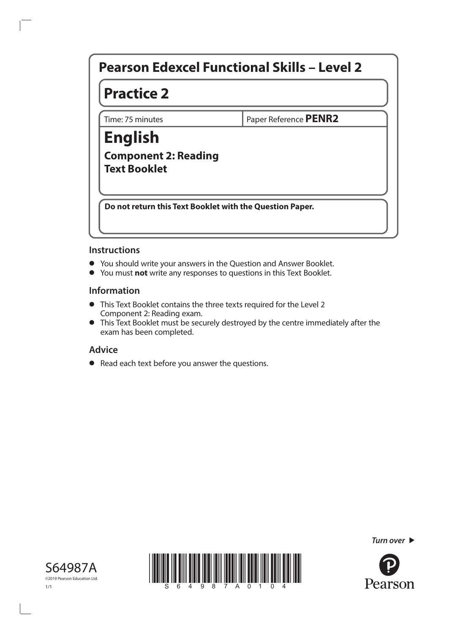# **Pearson Edexcel Functional Skills – Level 2**

# **Practice 2**

Time: 75 minutes **PENR2** 

## **English Component 2: Reading Text Booklet**

**Do not return this Text Booklet with the Question Paper.**

#### **Instructions**

- You should write your answers in the Question and Answer Booklet.<br>• You must **not** write any responses to questions in this Text Booklet.
- **•** You must **not** write any responses to questions in this Text Booklet.

#### **Information**

- **•** This Text Booklet contains the three texts required for the Level 2 Component 2: Reading exam.
- **•** This Text Booklet must be securely destroyed by the centre immediately after the exam has been completed.

## **Advice**

**•** Read each text before you answer the questions.

*Turn over* 





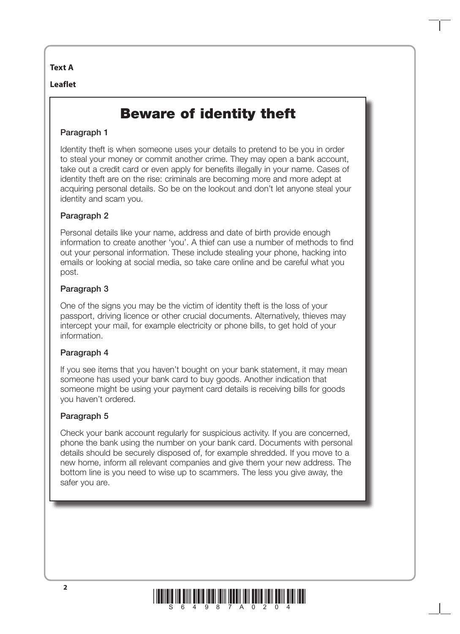#### **Text A**

#### **Leaflet**

# Beware of identity theft

### Paragraph 1

Identity theft is when someone uses your details to pretend to be you in order to steal your money or commit another crime. They may open a bank account, take out a credit card or even apply for benefits illegally in your name. Cases of identity theft are on the rise: criminals are becoming more and more adept at acquiring personal details. So be on the lookout and don't let anyone steal your identity and scam you.

### Paragraph 2

Personal details like your name, address and date of birth provide enough information to create another 'you'. A thief can use a number of methods to find out your personal information. These include stealing your phone, hacking into emails or looking at social media, so take care online and be careful what you post.

### Paragraph 3

One of the signs you may be the victim of identity theft is the loss of your passport, driving licence or other crucial documents. Alternatively, thieves may intercept your mail, for example electricity or phone bills, to get hold of your information.

## Paragraph 4

If you see items that you haven't bought on your bank statement, it may mean someone has used your bank card to buy goods. Another indication that someone might be using your payment card details is receiving bills for goods you haven't ordered.

#### Paragraph 5

Check your bank account regularly for suspicious activity. If you are concerned, phone the bank using the number on your bank card. Documents with personal details should be securely disposed of, for example shredded. If you move to a new home, inform all relevant companies and give them your new address. The bottom line is you need to wise up to scammers. The less you give away, the safer you are.

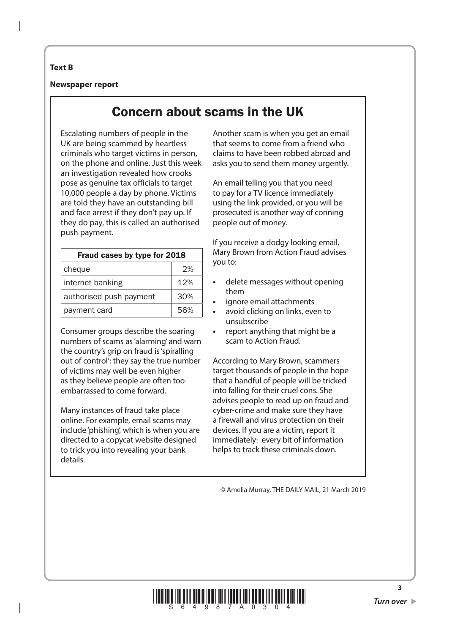#### **Text B**

**Newspaper report**

# Concern about scams in the UK

Escalating numbers of people in the UK are being scammed by heartless criminals who target victims in person, on the phone and online. Just this week an investigation revealed how crooks pose as genuine tax officials to target 10,000 people a day by phone. Victims are told they have an outstanding bill and face arrest if they don't pay up. If they do pay, this is called an authorised push payment.

| Fraud cases by type for 2018 |     |
|------------------------------|-----|
| cheque                       | 2%  |
| internet banking             | 12% |
| authorised push payment      | 30% |
| payment card                 | 56% |

Consumer groups describe the soaring numbers of scams as 'alarming' and warn the country's grip on fraud is 'spiralling out of control': they say the true number of victims may well be even higher as they believe people are often too embarrassed to come forward.

Many instances of fraud take place online. For example, email scams may include 'phishing', which is when you are directed to a copycat website designed to trick you into revealing your bank details.

Another scam is when you get an email that seems to come from a friend who claims to have been robbed abroad and asks you to send them money urgently.

An email telling you that you need to pay for a TV licence immediately using the link provided, or you will be prosecuted is another way of conning people out of money.

If you receive a dodgy looking email, Mary Brown from Action Fraud advises you to:

- **•** delete messages without opening them
- **•** ignore email attachments
- **•** avoid clicking on links, even to unsubscribe
- **•** report anything that might be a scam to Action Fraud.

According to Mary Brown, scammers target thousands of people in the hope that a handful of people will be tricked into falling for their cruel cons. She advises people to read up on fraud and cyber-crime and make sure they have a firewall and virus protection on their devices. If you are a victim, report it immediately: every bit of information helps to track these criminals down.

© Amelia Murray, THE DAILY MAIL, 21 March 2019